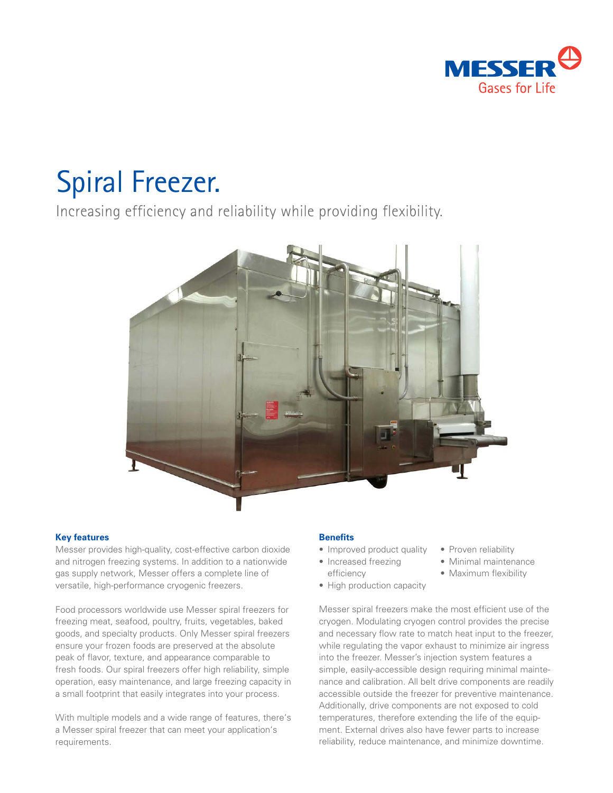

# Spiral Freezer.

Increasing efficiency and reliability while providing flexibility.



#### **Key features**

Messer provides high-quality, cost-effective carbon dioxide and nitrogen freezing systems. In addition to a nationwide gas supply network, Messer offers a complete line of versatile, high-performance cryogenic freezers.

Food processors worldwide use Messer spiral freezers for freezing meat, seafood, poultry, fruits, vegetables, baked goods, and specialty products. Only Messer spiral freezers ensure your frozen foods are preserved at the absolute peak of flavor, texture, and appearance comparable to fresh foods. Our spiral freezers offer high reliability, simple operation, easy maintenance, and large freezing capacity in a small footprint that easily integrates into your process.

With multiple models and a wide range of features, there's a Messer spiral freezer that can meet your application's requirements.

#### **Benefits**

- Improved product quality
- Increased freezing efficiency
- High production capacity
- Proven reliability
- Minimal maintenance
- Maximum flexibility

Messer spiral freezers make the most efficient use of the cryogen. Modulating cryogen control provides the precise and necessary flow rate to match heat input to the freezer, while regulating the vapor exhaust to minimize air ingress into the freezer. Messer's injection system features a simple, easily-accessible design requiring minimal maintenance and calibration. All belt drive components are readily accessible outside the freezer for preventive maintenance. Additionally, drive components are not exposed to cold temperatures, therefore extending the life of the equipment. External drives also have fewer parts to increase reliability, reduce maintenance, and minimize downtime.